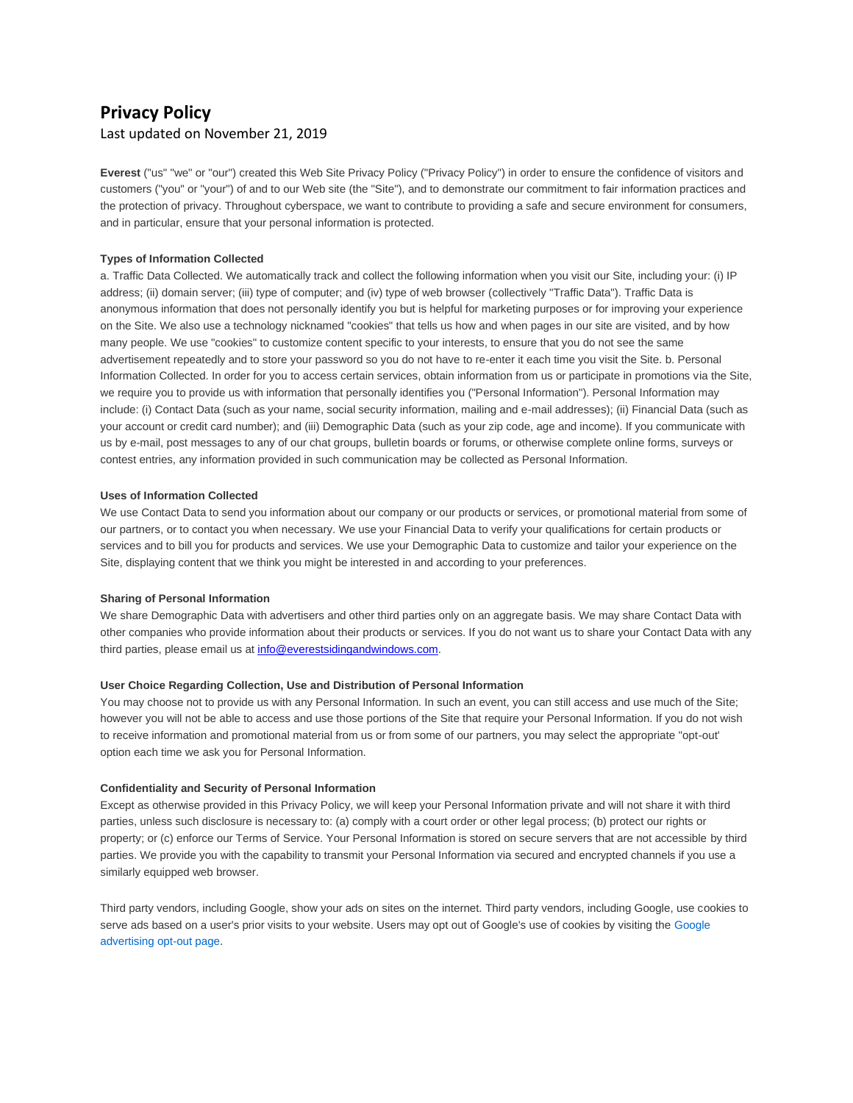# **Privacy Policy** Last updated on November 21, 2019

**Everest** ("us" "we" or "our") created this Web Site Privacy Policy ("Privacy Policy") in order to ensure the confidence of visitors and customers ("you" or "your") of and to our Web site (the "Site"), and to demonstrate our commitment to fair information practices and the protection of privacy. Throughout cyberspace, we want to contribute to providing a safe and secure environment for consumers, and in particular, ensure that your personal information is protected.

# **Types of Information Collected**

a. Traffic Data Collected. We automatically track and collect the following information when you visit our Site, including your: (i) IP address; (ii) domain server; (iii) type of computer; and (iv) type of web browser (collectively "Traffic Data"). Traffic Data is anonymous information that does not personally identify you but is helpful for marketing purposes or for improving your experience on the Site. We also use a technology nicknamed "cookies" that tells us how and when pages in our site are visited, and by how many people. We use "cookies" to customize content specific to your interests, to ensure that you do not see the same advertisement repeatedly and to store your password so you do not have to re-enter it each time you visit the Site. b. Personal Information Collected. In order for you to access certain services, obtain information from us or participate in promotions via the Site, we require you to provide us with information that personally identifies you ("Personal Information"). Personal Information may include: (i) Contact Data (such as your name, social security information, mailing and e-mail addresses); (ii) Financial Data (such as your account or credit card number); and (iii) Demographic Data (such as your zip code, age and income). If you communicate with us by e-mail, post messages to any of our chat groups, bulletin boards or forums, or otherwise complete online forms, surveys or contest entries, any information provided in such communication may be collected as Personal Information.

#### **Uses of Information Collected**

We use Contact Data to send you information about our company or our products or services, or promotional material from some of our partners, or to contact you when necessary. We use your Financial Data to verify your qualifications for certain products or services and to bill you for products and services. We use your Demographic Data to customize and tailor your experience on the Site, displaying content that we think you might be interested in and according to your preferences.

#### **Sharing of Personal Information**

We share Demographic Data with advertisers and other third parties only on an aggregate basis. We may share Contact Data with other companies who provide information about their products or services. If you do not want us to share your Contact Data with any third parties, please email us at [info@everestsidingandwindows.com.](file://///EgnyteDrive/everestserver/Shared/Everest_Server_Files/Marketing/Website/info@everestsidingandwindows.com)

#### **User Choice Regarding Collection, Use and Distribution of Personal Information**

You may choose not to provide us with any Personal Information. In such an event, you can still access and use much of the Site; however you will not be able to access and use those portions of the Site that require your Personal Information. If you do not wish to receive information and promotional material from us or from some of our partners, you may select the appropriate "opt-out' option each time we ask you for Personal Information.

### **Confidentiality and Security of Personal Information**

Except as otherwise provided in this Privacy Policy, we will keep your Personal Information private and will not share it with third parties, unless such disclosure is necessary to: (a) comply with a court order or other legal process; (b) protect our rights or property; or (c) enforce our Terms of Service. Your Personal Information is stored on secure servers that are not accessible by third parties. We provide you with the capability to transmit your Personal Information via secured and encrypted channels if you use a similarly equipped web browser.

Third party vendors, including Google, show your ads on sites on the internet. Third party vendors, including Google, use cookies to serve ads based on a user's prior visits to your website. Users may opt out of Google's use of cookies by visiting the [Google](http://www.google.com/privacy_ads.html)  [advertising opt-out page.](http://www.google.com/privacy_ads.html)